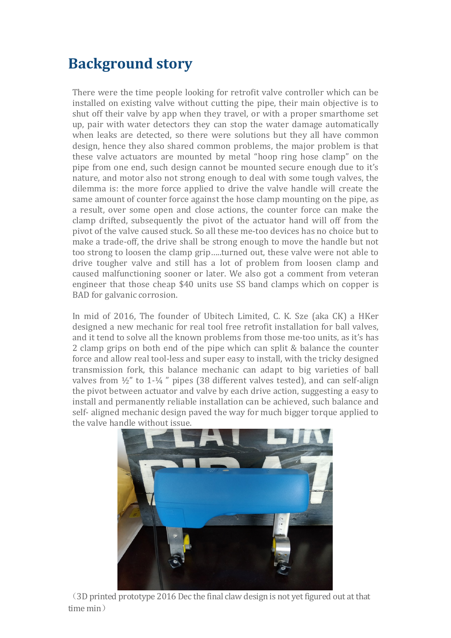## **Background story**

There were the time people looking for retrofit valve controller which can be installed on existing valve without cutting the pipe, their main objective is to shut off their valve by app when they travel, or with a proper smarthome set up, pair with water detectors they can stop the water damage automatically when leaks are detected, so there were solutions but they all have common design, hence they also shared common problems, the major problem is that these valve actuators are mounted by metal "hoop ring hose clamp" on the pipe from one end, such design cannot be mounted secure enough due to it's nature, and motor also not strong enough to deal with some tough valves, the dilemma is: the more force applied to drive the valve handle will create the same amount of counter force against the hose clamp mounting on the pipe, as a result, over some open and close actions, the counter force can make the clamp drifted, subsequently the pivot of the actuator hand will off from the pivot of the valve caused stuck. So all these me-too devices has no choice but to make a trade-off, the drive shall be strong enough to move the handle but not too strong to loosen the clamp grip…..turned out, these valve were not able to drive tougher valve and still has a lot of problem from loosen clamp and caused malfunctioning sooner or later. We also got a comment from veteran engineer that those cheap \$40 units use SS band clamps which on copper is BAD for galvanic corrosion.

In mid of 2016, The founder of Ubitech Limited, C. K. Sze (aka CK) a HKer designed a new mechanic for real tool free retrofit installation for ball valves, and it tend to solve all the known problems from those me-too units, as it's has 2 clamp grips on both end of the pipe which can split & balance the counter force and allow real tool-less and super easy to install, with the tricky designed transmission fork, this balance mechanic can adapt to big varieties of ball valves from ½" to 1-¼ " pipes (38 different valves tested), and can self-align the pivot between actuator and valve by each drive action, suggesting a easy to install and permanently reliable installation can be achieved, such balance and self- aligned mechanic design paved the way for much bigger torque applied to the valve handle without issue.



(3D printed prototype 2016 Dec the final claw design is not yet figured out at that time min)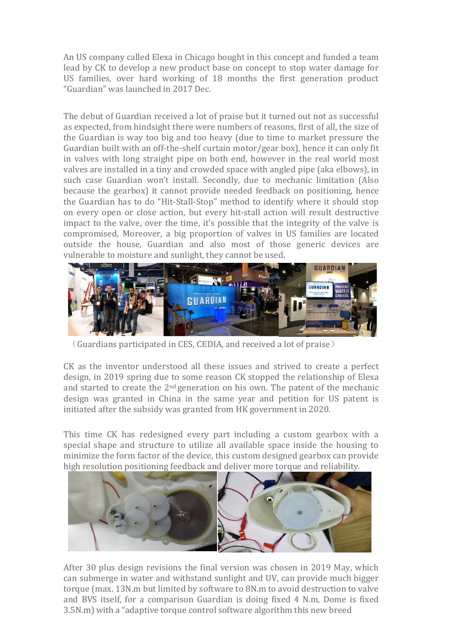An US company called Elexa in Chicago bought in this concept and funded a team lead by CK to develop a new product base on concept to stop water damage for US families, over hard working of 18 months the first generation product "Guardian" was launched in 2017 Dec.

The debut of Guardian received a lot of praise but it turned out not as successful as expected, from hindsight there were numbers of reasons, first of all, the size of the Guardian is way too big and too heavy (due to time to market pressure the Guardian built with an off-the-shelf curtain motor/gear box), hence it can only fit in valves with long straight pipe on both end, however in the real world most valves are installed in a tiny and crowded space with angled pipe (aka elbows), in such case Guardian won't install. Secondly, due to mechanic limitation (Also because the gearbox) it cannot provide needed feedback on positioning, hence the Guardian has to do "Hit-Stall-Stop" method to identify where it should stop on every open or close action, but every hit-stall action will result destructive impact to the valve, over the time, it's possible that the integrity of the valve is compromised, Moreover, a big proportion of valves in US families are located outside the house, Guardian and also most of those generic devices are vulnerable to moisture and sunlight, they cannot be used.



(Guardians participated in CES, CEDIA, and received a lot of praise)

CK as the inventor understood all these issues and strived to create a perfect design, in 2019 spring due to some reason CK stopped the relationship of Elexa and started to create the 2nd generation on his own. The patent of the mechanic design was granted in China in the same year and petition for US patent is initiated after the subsidy was granted from HK government in 2020.

This time CK has redesigned every part including a custom gearbox with a special shape and structure to utilize all available space inside the housing to minimize the form factor of the device, this custom designed gearbox can provide high resolution positioning feedback and deliver more torque and reliability.



After 30 plus design revisions the final version was chosen in 2019 May, which can submerge in water and withstand sunlight and UV, can provide much bigger torque (max. 13N.m but limited by software to 8N.m to avoid destruction to valve and BVS itself, for a comparison Guardian is doing fixed 4 N.m, Dome is fixed 3.5N.m) with a "adaptive torque control software algorithm this new breed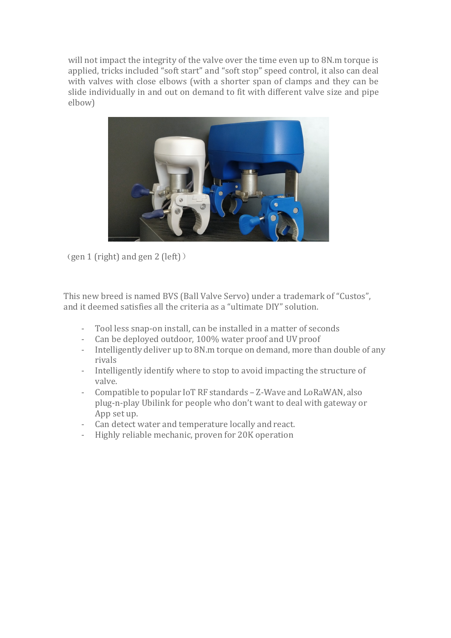will not impact the integrity of the valve over the time even up to 8N.m torque is applied, tricks included "soft start" and "soft stop" speed control, it also can deal with valves with close elbows (with a shorter span of clamps and they can be slide individually in and out on demand to fit with different valve size and pipe elbow)



(gen 1 (right) and gen 2 (left))

This new breed is named BVS (Ball Valve Servo) under a trademark of "Custos", and it deemed satisfies all the criteria as a "ultimate DIY" solution.

- Tool less snap-on install, can be installed in a matter of seconds
- Can be deployed outdoor, 100% water proof and UV proof<br>- Intelligently deliver un to 8N m torque on demand, more the
- Intelligently deliver up to 8N.m torque on demand, more than double of any rivals
- Intelligently identify where to stop to avoid impacting the structure of valve.
- Compatible to popular IoT RF standards Z-Wave and LoRaWAN, also plug-n-play Ubilink for people who don't want to deal with gateway or App set up.
- Can detect water and temperature locally and react.
- Highly reliable mechanic, proven for 20K operation